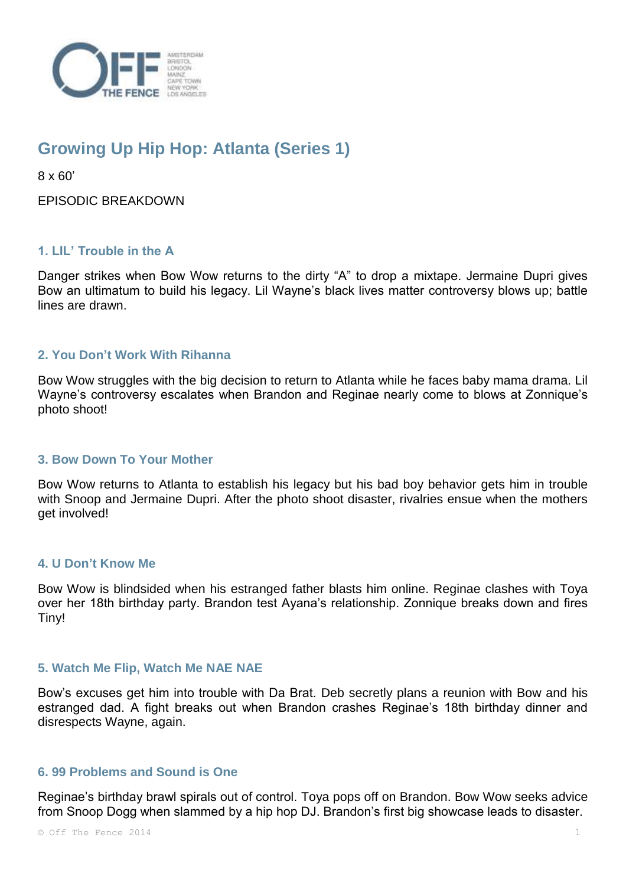

# **Growing Up Hip Hop: Atlanta (Series 1)**

8 x 60'

EPISODIC BREAKDOWN

## **1. LIL' Trouble in the A**

Danger strikes when Bow Wow returns to the dirty "A" to drop a mixtape. Jermaine Dupri gives Bow an ultimatum to build his legacy. Lil Wayne's black lives matter controversy blows up; battle lines are drawn.

## **2. You Don't Work With Rihanna**

Bow Wow struggles with the big decision to return to Atlanta while he faces baby mama drama. Lil Wayne's controversy escalates when Brandon and Reginae nearly come to blows at Zonnique's photo shoot!

#### **3. Bow Down To Your Mother**

Bow Wow returns to Atlanta to establish his legacy but his bad boy behavior gets him in trouble with Snoop and Jermaine Dupri. After the photo shoot disaster, rivalries ensue when the mothers get involved!

#### **4. U Don't Know Me**

Bow Wow is blindsided when his estranged father blasts him online. Reginae clashes with Toya over her 18th birthday party. Brandon test Ayana's relationship. Zonnique breaks down and fires Tiny!

#### **5. Watch Me Flip, Watch Me NAE NAE**

Bow's excuses get him into trouble with Da Brat. Deb secretly plans a reunion with Bow and his estranged dad. A fight breaks out when Brandon crashes Reginae's 18th birthday dinner and disrespects Wayne, again.

#### **6. 99 Problems and Sound is One**

Reginae's birthday brawl spirals out of control. Toya pops off on Brandon. Bow Wow seeks advice from Snoop Dogg when slammed by a hip hop DJ. Brandon's first big showcase leads to disaster.